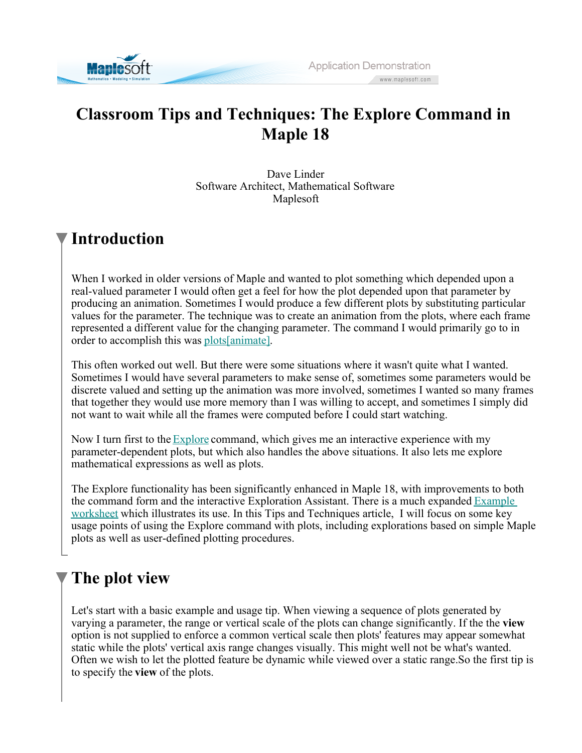

## **Classroom Tips and Techniques: The Explore Command in Maple 18**

Dave Linder Software Architect, Mathematical Software Maplesoft

## **Introduction**

When I worked in older versions of Maple and wanted to plot something which depended upon a real-valued parameter I would often get a feel for how the plot depended upon that parameter by producing an animation. Sometimes I would produce a few different plots by substituting particular values for the parameter. The technique was to create an animation from the plots, where each frame represented a different value for the changing parameter. The command I would primarily go to in order to accomplish this was plots[animate].

This often worked out well. But there were some situations where it wasn't quite what I wanted. Sometimes I would have several parameters to make sense of, sometimes some parameters would be discrete valued and setting up the animation was more involved, sometimes I wanted so many frames that together they would use more memory than I was willing to accept, and sometimes I simply did not want to wait while all the frames were computed before I could start watching.

Now I turn first to the  $\frac{Explore}{Explone}$  command, which gives me an interactive experience with my parameter-dependent plots, but which also handles the above situations. It also lets me explore mathematical expressions as well as plots.

The Explore functionality has been significantly enhanced in Maple 18, with improvements to both the command form and the interactive Exploration Assistant. There is a much expanded Example worksheet which illustrates its use. In this Tips and Techniques article, I will focus on some key usage points of using the Explore command with plots, including explorations based on simple Maple plots as well as user-defined plotting procedures.

## **The plot view**

Let's start with a basic example and usage tip. When viewing a sequence of plots generated by varying a parameter, the range or vertical scale of the plots can change significantly. If the the **view** option is not supplied to enforce a common vertical scale then plots' features may appear somewhat static while the plots' vertical axis range changes visually. This might well not be what's wanted. Often we wish to let the plotted feature be dynamic while viewed over a static range.So the first tip is to specify the **view** of the plots.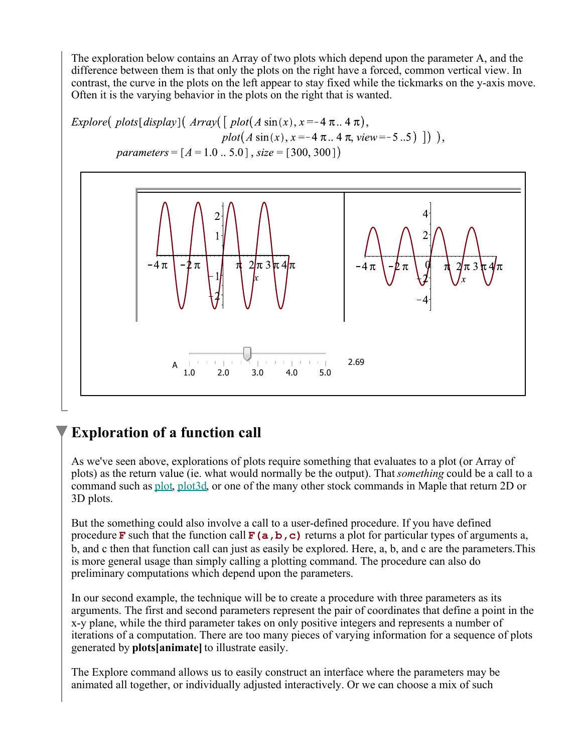The exploration below contains an Array of two plots which depend upon the parameter A, and the difference between them is that only the plots on the right have a forced, common vertical view. In contrast, the curve in the plots on the left appear to stay fixed while the tickmarks on the y-axis move. Often it is the varying behavior in the plots on the right that is wanted.

Explore( plots [display]  $(Array(\lceil plot(A\sin(x), x=-4\pi..4\pi),$ plot(A sin(x), x = -4  $\pi$ ... 4  $\pi$ , view = -5...5) ]), parameters =  $[A = 1.0 \dots 5.0]$ , size = [300, 300])



## **Exploration of a function call**

As we've seen above, explorations of plots require something that evaluates to a plot (or Array of plots) as the return value (ie. what would normally be the output). That *something* could be a call to a command such as plot, plot3d, or one of the many other stock commands in Maple that return 2D or 3D plots.

But the something could also involve a call to a user-defined procedure. If you have defined procedure **F** such that the function call **F**(a,b,c) returns a plot for particular types of arguments a, b, and c then that function call can just as easily be explored. Here, a, b, and c are the parameters.This is more general usage than simply calling a plotting command. The procedure can also do preliminary computations which depend upon the parameters.

In our second example, the technique will be to create a procedure with three parameters as its arguments. The first and second parameters represent the pair of coordinates that define a point in the x-y plane, while the third parameter takes on only positive integers and represents a number of iterations of a computation. There are too many pieces of varying information for a sequence of plots generated by **plots[animate]** to illustrate easily.

The Explore command allows us to easily construct an interface where the parameters may be animated all together, or individually adjusted interactively. Or we can choose a mix of such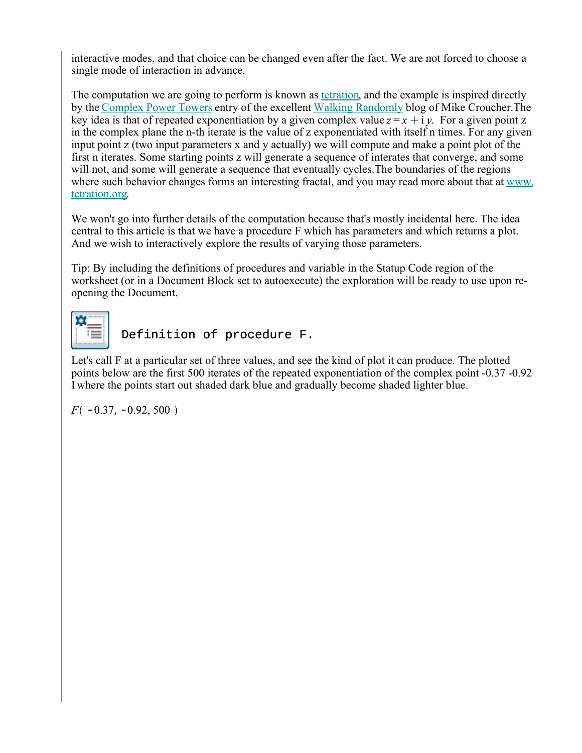interactive modes, and that choice can be changed even after the fact. We are not forced to choose a single mode of interaction in advance.

The computation we are going to perform is known as tetration, and the example is inspired directly by the Complex Power Towers entry of the excellent Walking Randomly blog of Mike Croucher.The key idea is that of repeated exponentiation by a given complex value  $z = x + i y$ . For a given point z in the complex plane the n-th iterate is the value of z exponentiated with itself n times. For any given input point z (two input parameters x and y actually) we will compute and make a point plot of the first n iterates. Some starting points z will generate a sequence of interates that converge, and some will not, and some will generate a sequence that eventually cycles. The boundaries of the regions where such behavior changes forms an interesting fractal, and you may read more about that at www. tetration.org.

We won't go into further details of the computation because that's mostly incidental here. The idea central to this article is that we have a procedure F which has parameters and which returns a plot. And we wish to interactively explore the results of varying those parameters.

Tip: By including the definitions of procedures and variable in the Statup Code region of the worksheet (or in a Document Block set to autoexecute) the exploration will be ready to use upon reopening the Document.



Definition of procedure F.

Let's call F at a particular set of three values, and see the kind of plot it can produce. The plotted points below are the first 500 iterates of the repeated exponentiation of the complex point -0.37 -0.92 I where the points start out shaded dark blue and gradually become shaded lighter blue.

 $F(-0.37, -0.92, 500)$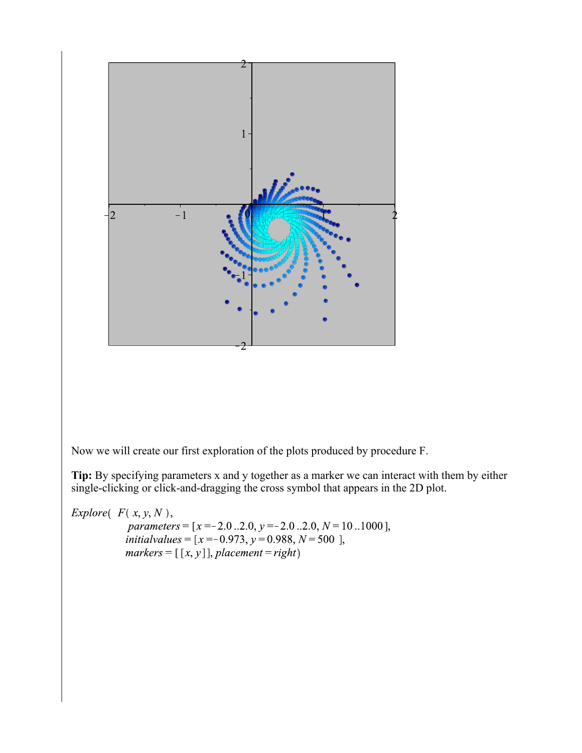

Explore( $F(x, y, N)$ ,

parameters =  $[x = -2.0..2.0, y = -2.0..2.0, N = 10..1000]$ ,<br>initialvalues =  $[x = -0.973, y = 0.988, N = 500]$ ,  $markers = [[x, y]], placement = right)$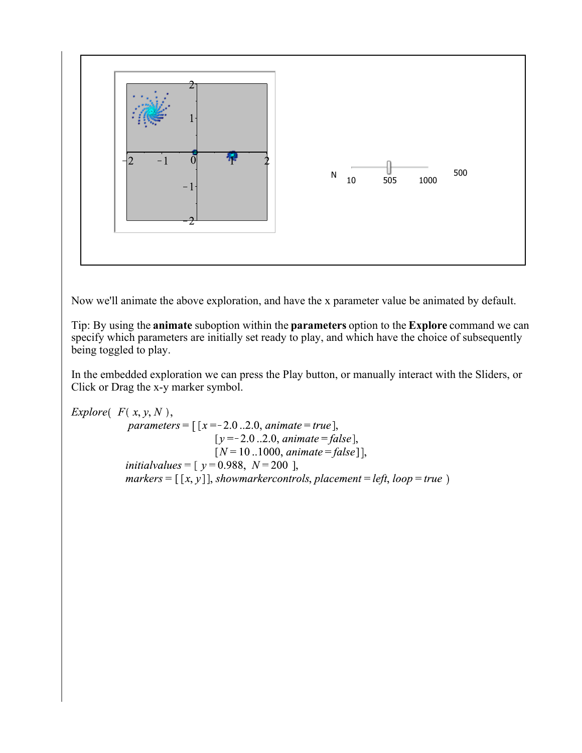

Now we'll animate the above exploration, and have the x parameter value be animated by default.

Tip: By using the **animate** suboption within the **parameters** option to the **Explore** command we can specify which parameters are initially set ready to play, and which have the choice of subsequently being toggled to play.

In the embedded exploration we can press the Play button, or manually interact with the Sliders, or Click or Drag the x-y marker symbol.

Explore $(F(x, y, N)),$ parameters =  $[ [x = -2.0..2.0, \text{ animate} = \text{true} ],$  $[y = -2.0..2.0, *animate = false*],$  $[N = 10..1000,$  animate = false]], *initialvalues* =  $y = 0.988$ ,  $N = 200$ ], markers =  $[[x, y]],$  showmarker controls, placement = left, loop = true )